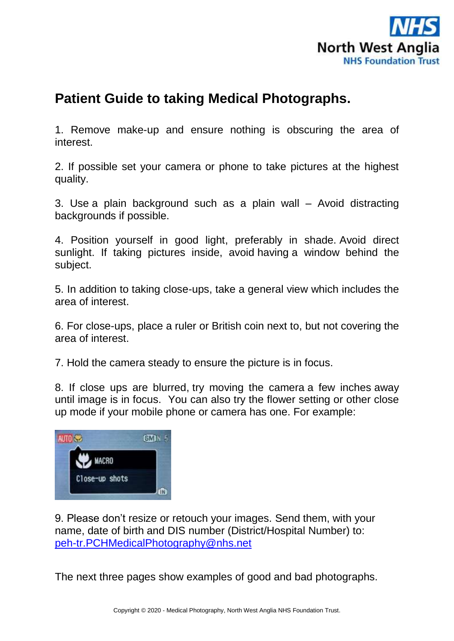

## **Patient Guide to taking Medical Photographs.**

1. Remove make-up and ensure nothing is obscuring the area of interest.

2. If possible set your camera or phone to take pictures at the highest quality.

3. Use a plain background such as a plain wall – Avoid distracting backgrounds if possible.

4. Position yourself in good light, preferably in shade. Avoid direct sunlight. If taking pictures inside, avoid having a window behind the subject.

5. In addition to taking close-ups, take a general view which includes the area of interest.

6. For close-ups, place a ruler or British coin next to, but not covering the area of interest.

7. Hold the camera steady to ensure the picture is in focus.

8. If close ups are blurred, try moving the camera a few inches away until image is in focus. You can also try the flower setting or other close up mode if your mobile phone or camera has one. For example:



9. Please don't resize or retouch your images. Send them, with your name, date of birth and DIS number (District/Hospital Number) to: [peh-tr.PCHMedicalPhotography@nhs.net](mailto:peh-tr.PCHMedicalPhotography@nhs.net)

The next three pages show examples of good and bad photographs.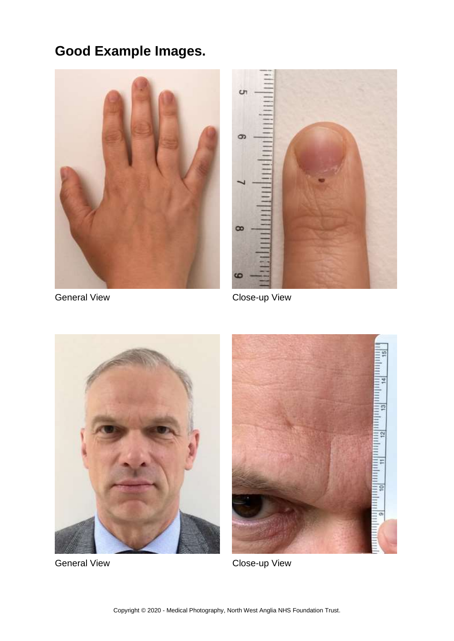## **Good Example Images.**





General View **Close-up View** 





General View **Close-up View**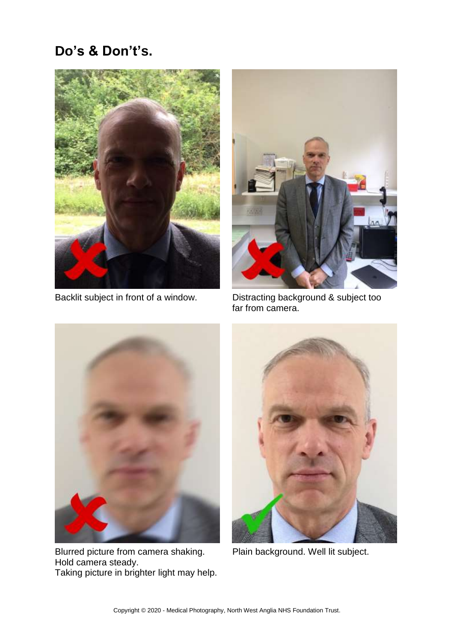## **Do's & Don't's.**





Backlit subject in front of a window. Distracting background & subject too far from camera.



Blurred picture from camera shaking. Plain background. Well lit subject. Hold camera steady. Taking picture in brighter light may help.